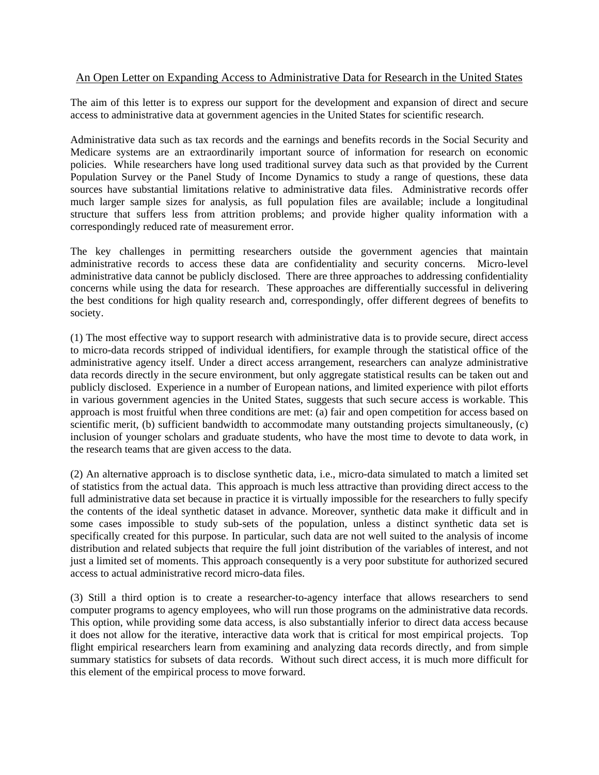## An Open Letter on Expanding Access to Administrative Data for Research in the United States

The aim of this letter is to express our support for the development and expansion of direct and secure access to administrative data at government agencies in the United States for scientific research.

Administrative data such as tax records and the earnings and benefits records in the Social Security and Medicare systems are an extraordinarily important source of information for research on economic policies. While researchers have long used traditional survey data such as that provided by the Current Population Survey or the Panel Study of Income Dynamics to study a range of questions, these data sources have substantial limitations relative to administrative data files. Administrative records offer much larger sample sizes for analysis, as full population files are available; include a longitudinal structure that suffers less from attrition problems; and provide higher quality information with a correspondingly reduced rate of measurement error.

The key challenges in permitting researchers outside the government agencies that maintain administrative records to access these data are confidentiality and security concerns. Micro-level administrative data cannot be publicly disclosed. There are three approaches to addressing confidentiality concerns while using the data for research. These approaches are differentially successful in delivering the best conditions for high quality research and, correspondingly, offer different degrees of benefits to society.

(1) The most effective way to support research with administrative data is to provide secure, direct access to micro-data records stripped of individual identifiers, for example through the statistical office of the administrative agency itself. Under a direct access arrangement, researchers can analyze administrative data records directly in the secure environment, but only aggregate statistical results can be taken out and publicly disclosed. Experience in a number of European nations, and limited experience with pilot efforts in various government agencies in the United States, suggests that such secure access is workable. This approach is most fruitful when three conditions are met: (a) fair and open competition for access based on scientific merit, (b) sufficient bandwidth to accommodate many outstanding projects simultaneously, (c) inclusion of younger scholars and graduate students, who have the most time to devote to data work, in the research teams that are given access to the data.

(2) An alternative approach is to disclose synthetic data, i.e., micro-data simulated to match a limited set of statistics from the actual data. This approach is much less attractive than providing direct access to the full administrative data set because in practice it is virtually impossible for the researchers to fully specify the contents of the ideal synthetic dataset in advance. Moreover, synthetic data make it difficult and in some cases impossible to study sub-sets of the population, unless a distinct synthetic data set is specifically created for this purpose. In particular, such data are not well suited to the analysis of income distribution and related subjects that require the full joint distribution of the variables of interest, and not just a limited set of moments. This approach consequently is a very poor substitute for authorized secured access to actual administrative record micro-data files.

(3) Still a third option is to create a researcher-to-agency interface that allows researchers to send computer programs to agency employees, who will run those programs on the administrative data records. This option, while providing some data access, is also substantially inferior to direct data access because it does not allow for the iterative, interactive data work that is critical for most empirical projects. Top flight empirical researchers learn from examining and analyzing data records directly, and from simple summary statistics for subsets of data records. Without such direct access, it is much more difficult for this element of the empirical process to move forward.